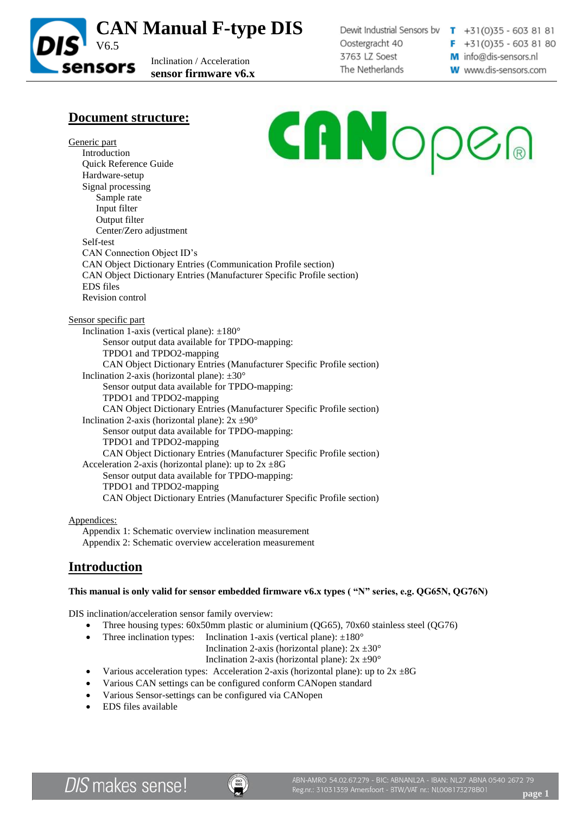

Dewit Industrial Sensors bv  $\mathbf{T}$  +31(0)35 - 603 81 81 Oostergracht 40 3763 LZ Soest The Netherlands

 $F + 31(0)35 - 6038180$ M info@dis-sensors.nl

### **W** www.dis-sensors.com

# **Document structure:**

CANOPEA Generic part Introduction Quick Reference Guide Hardware-setup Signal processing Sample rate Input filter Output filter Center/Zero adjustment Self-test CAN Connection Object ID's CAN Object Dictionary Entries (Communication Profile section) CAN Object Dictionary Entries (Manufacturer Specific Profile section) EDS files Revision control Sensor specific part Inclination 1-axis (vertical plane):  $\pm 180^\circ$ Sensor output data available for TPDO-mapping: TPDO1 and TPDO2-mapping CAN Object Dictionary Entries (Manufacturer Specific Profile section)

Inclination 2-axis (horizontal plane):  $\pm 30^\circ$ Sensor output data available for TPDO-mapping: TPDO1 and TPDO2-mapping CAN Object Dictionary Entries (Manufacturer Specific Profile section) Inclination 2-axis (horizontal plane):  $2x \pm 90^\circ$ Sensor output data available for TPDO-mapping: TPDO1 and TPDO2-mapping CAN Object Dictionary Entries (Manufacturer Specific Profile section) Acceleration 2-axis (horizontal plane): up to  $2x \pm 8G$ Sensor output data available for TPDO-mapping: TPDO1 and TPDO2-mapping CAN Object Dictionary Entries (Manufacturer Specific Profile section)

### Appendices:

Appendix 1: Schematic overview inclination measurement Appendix 2: Schematic overview acceleration measurement

## **Introduction**

### **This manual is only valid for sensor embedded firmware v6.x types ( "N" series, e.g. QG65N, QG76N)**

DIS inclination/acceleration sensor family overview:

- Three housing types: 60x50mm plastic or aluminium (QG65), 70x60 stainless steel (QG76)
- Three inclination types: Inclination 1-axis (vertical plane):  $\pm 180^\circ$

Inclination 2-axis (horizontal plane):  $2x \pm 30^{\circ}$ 

Inclination 2-axis (horizontal plane):  $2x \pm 90^\circ$ 

- Various acceleration types: Acceleration 2-axis (horizontal plane): up to  $2x \pm 8G$
- Various CAN settings can be configured conform CANopen standard
- Various Sensor-settings can be configured via CANopen
- EDS files available

**DIS** makes sense!

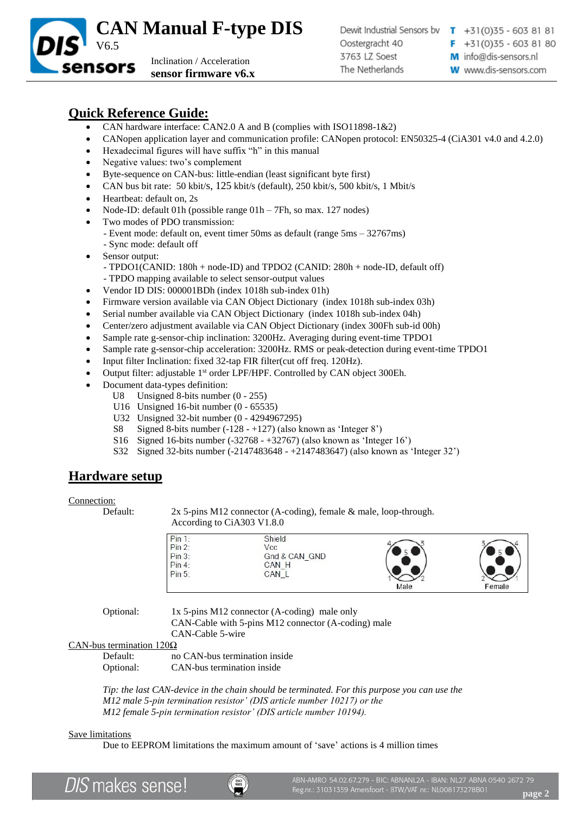

# **Quick Reference Guide:**

sensors

- CAN hardware interface: CAN2.0 A and B (complies with ISO11898-1&2)
- CANopen application layer and communication profile: CANopen protocol: EN50325-4 (CiA301 v4.0 and 4.2.0)
- Hexadecimal figures will have suffix "h" in this manual

Inclination / Acceleration **sensor firmware v6.x**

- Negative values: two's complement
- Byte-sequence on CAN-bus: little-endian (least significant byte first)
- CAN bus bit rate: 50 kbit/s, 125 kbit/s (default), 250 kbit/s, 500 kbit/s, 1 Mbit/s
- Heartbeat: default on, 2s
- Node-ID: default 01h (possible range 01h 7Fh, so max. 127 nodes)
- Two modes of PDO transmission:
	- Event mode: default on, event timer 50ms as default (range 5ms 32767ms) - Sync mode: default off
- Sensor output:
	- TPDO1(CANID: 180h + node-ID) and TPDO2 (CANID: 280h + node-ID, default off) - TPDO mapping available to select sensor-output values
- Vendor ID DIS: 000001BDh (index 1018h sub-index 01h)
- Firmware version available via CAN Object Dictionary (index 1018h sub-index 03h)
- Serial number available via CAN Object Dictionary (index 1018h sub-index 04h)
- Center/zero adjustment available via CAN Object Dictionary (index 300Fh sub-id 00h)
- Sample rate g-sensor-chip inclination: 3200Hz. Averaging during event-time TPDO1
- Sample rate g-sensor-chip acceleration: 3200Hz. RMS or peak-detection during event-time TPDO1
- Input filter Inclination: fixed 32-tap FIR filter(cut off freq. 120Hz).
- Output filter: adjustable 1<sup>st</sup> order LPF/HPF. Controlled by CAN object 300Eh.
- Document data-types definition:
	- U8 Unsigned 8-bits number (0 255)
	- U16 Unsigned 16-bit number (0 65535)
	- U32 Unsigned 32-bit number (0 4294967295)
	- S8 Signed 8-bits number (-128 +127) (also known as 'Integer 8')
	- S16 Signed 16-bits number (-32768 +32767) (also known as 'Integer 16')
	- S32 Signed 32-bits number (-2147483648 +2147483647) (also known as 'Integer 32')

## **Hardware setup**

### Connection:

Default: 2x 5-pins M12 connector (A-coding), female & male, loop-through. According to CiA303 V1.8.0

| Pin 1: | Shield        |      |        |
|--------|---------------|------|--------|
| Pin 2: | Vcc           |      |        |
| Pin 3: | Gnd & CAN GND |      |        |
| Pin 4: | CAN H         |      |        |
| Pin 5: | CAN_L         |      |        |
|        |               | Male | Female |

Optional: 1x 5-pins M12 connector (A-coding) male only CAN-Cable with 5-pins M12 connector (A-coding) male

CAN-Cable 5-wire

CAN-bus termination 120Ω

| Default:  | no CAN-bus termination inside |
|-----------|-------------------------------|
| Optional: | CAN-bus termination inside    |

*Tip: the last CAN-device in the chain should be terminated. For this purpose you can use the M12 male 5-pin termination resistor' (DIS article number 10217) or the M12 female 5-pin termination resistor' (DIS article number 10194).*

### Save limitations

Due to EEPROM limitations the maximum amount of 'save' actions is 4 million times

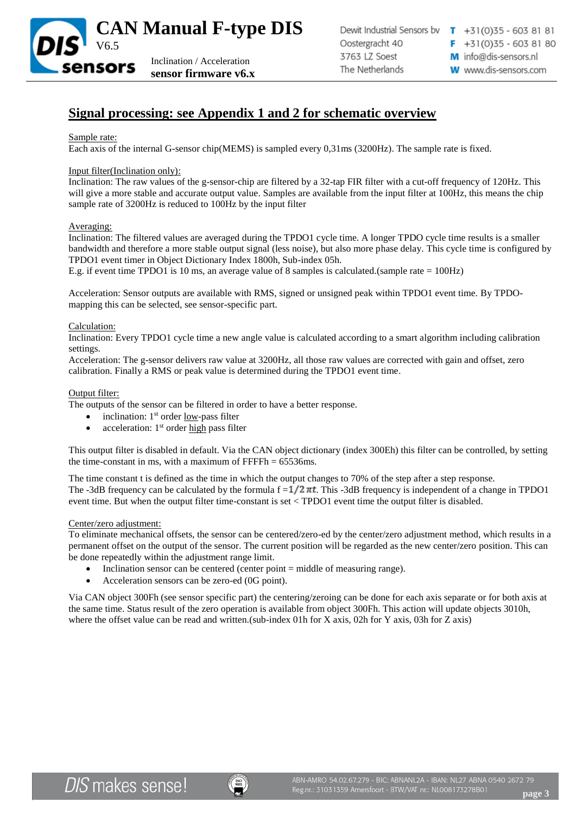

## **Signal processing: see Appendix 1 and 2 for schematic overview**

#### Sample rate:

Each axis of the internal G-sensor chip(MEMS) is sampled every 0,31ms (3200Hz). The sample rate is fixed.

#### Input filter(Inclination only):

Inclination: The raw values of the g-sensor-chip are filtered by a 32-tap FIR filter with a cut-off frequency of 120Hz. This will give a more stable and accurate output value. Samples are available from the input filter at 100Hz, this means the chip sample rate of 3200Hz is reduced to 100Hz by the input filter

#### Averaging:

Inclination: The filtered values are averaged during the TPDO1 cycle time. A longer TPDO cycle time results is a smaller bandwidth and therefore a more stable output signal (less noise), but also more phase delay. This cycle time is configured by TPDO1 event timer in Object Dictionary Index 1800h, Sub-index 05h.

E.g. if event time TPDO1 is 10 ms, an average value of 8 samples is calculated.(sample rate = 100Hz)

Acceleration: Sensor outputs are available with RMS, signed or unsigned peak within TPDO1 event time. By TPDOmapping this can be selected, see sensor-specific part.

#### Calculation:

Inclination: Every TPDO1 cycle time a new angle value is calculated according to a smart algorithm including calibration settings.

Acceleration: The g-sensor delivers raw value at 3200Hz, all those raw values are corrected with gain and offset, zero calibration. Finally a RMS or peak value is determined during the TPDO1 event time.

#### Output filter:

The outputs of the sensor can be filtered in order to have a better response.

- inclination:  $1<sup>st</sup>$  order <u>low-pass</u> filter
- acceleration: 1<sup>st</sup> order high pass filter

This output filter is disabled in default. Via the CAN object dictionary (index 300Eh) this filter can be controlled, by setting the time-constant in ms, with a maximum of  $\text{FFFF}h = 65536 \text{ms}$ .

The time constant t is defined as the time in which the output changes to 70% of the step after a step response. The -3dB frequency can be calculated by the formula  $f = 1/2 \pi t$ . This -3dB frequency is independent of a change in TPDO1 event time. But when the output filter time-constant is set < TPDO1 event time the output filter is disabled.

#### Center/zero adjustment:

To eliminate mechanical offsets, the sensor can be centered/zero-ed by the center/zero adjustment method, which results in a permanent offset on the output of the sensor. The current position will be regarded as the new center/zero position. This can be done repeatedly within the adjustment range limit.

- Inclination sensor can be centered (center point = middle of measuring range).
- Acceleration sensors can be zero-ed (0G point).

Via CAN object 300Fh (see sensor specific part) the centering/zeroing can be done for each axis separate or for both axis at the same time. Status result of the zero operation is available from object 300Fh. This action will update objects 3010h, where the offset value can be read and written.(sub-index 01h for X axis, 02h for Y axis, 03h for Z axis)

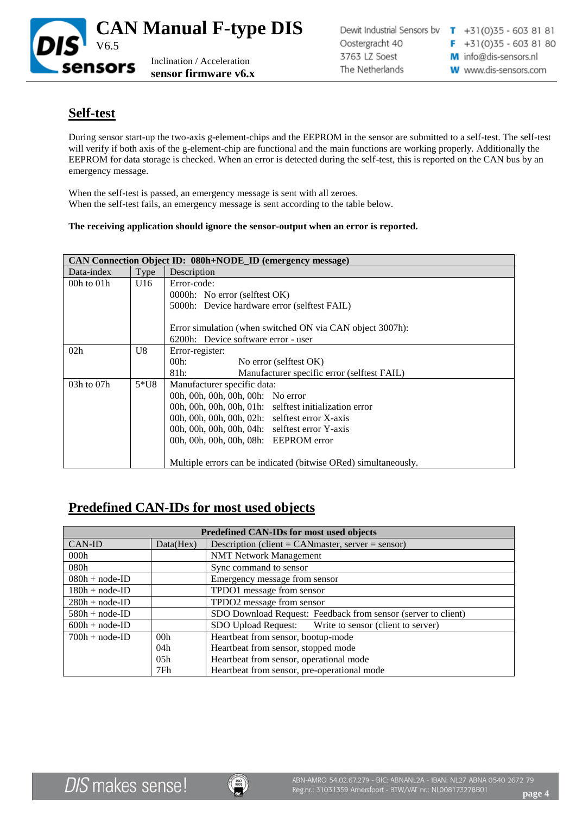

## **Self-test**

During sensor start-up the two-axis g-element-chips and the EEPROM in the sensor are submitted to a self-test. The self-test will verify if both axis of the g-element-chip are functional and the main functions are working properly. Additionally the EEPROM for data storage is checked. When an error is detected during the self-test, this is reported on the CAN bus by an emergency message.

When the self-test is passed, an emergency message is sent with all zeroes. When the self-test fails, an emergency message is sent according to the table below.

### **The receiving application should ignore the sensor-output when an error is reported.**

| CAN Connection Object ID: 080h+NODE_ID (emergency message) |        |                                                                 |  |  |  |
|------------------------------------------------------------|--------|-----------------------------------------------------------------|--|--|--|
| Data-index                                                 | Type   | Description                                                     |  |  |  |
| 00h to $01h$                                               | U16    | Error-code:                                                     |  |  |  |
|                                                            |        | 0000h: No error (selftest OK)                                   |  |  |  |
|                                                            |        | 5000h: Device hardware error (selftest FAIL)                    |  |  |  |
|                                                            |        |                                                                 |  |  |  |
|                                                            |        | Error simulation (when switched ON via CAN object 3007h):       |  |  |  |
|                                                            |        | 6200h: Device software error - user                             |  |  |  |
| 02h                                                        | U8     | Error-register:                                                 |  |  |  |
|                                                            |        | $00h$ :<br>No error (selftest OK)                               |  |  |  |
|                                                            |        | 81h:<br>Manufacturer specific error (selftest FAIL)             |  |  |  |
| $03h$ to $07h$                                             | $5*U8$ | Manufacturer specific data:                                     |  |  |  |
|                                                            |        | 00h, 00h, 00h, 00h, 00h: No error                               |  |  |  |
|                                                            |        | 00h, 00h, 00h, 00h, 01h: selftest initialization error          |  |  |  |
|                                                            |        | 00h, 00h, 00h, 00h, 02h: selftest error X-axis                  |  |  |  |
|                                                            |        | 00h, 00h, 00h, 00h, 04h: selftest error Y-axis                  |  |  |  |
|                                                            |        | 00h, 00h, 00h, 00h, 08h: EEPROM error                           |  |  |  |
|                                                            |        |                                                                 |  |  |  |
|                                                            |        | Multiple errors can be indicated (bitwise ORed) simultaneously. |  |  |  |

## **Predefined CAN-IDs for most used objects**

| Predefined CAN-IDs for most used objects |                  |                                                               |  |  |
|------------------------------------------|------------------|---------------------------------------------------------------|--|--|
| CAN-ID                                   | Data(Hex)        | Description (client = CANmaster, server = sensor)             |  |  |
| 000h                                     |                  | <b>NMT Network Management</b>                                 |  |  |
| 080h                                     |                  | Sync command to sensor                                        |  |  |
| $080h + node-ID$                         |                  | Emergency message from sensor                                 |  |  |
| $180h + node-ID$                         |                  | TPDO1 message from sensor                                     |  |  |
| $280h + node-ID$                         |                  | TPDO2 message from sensor                                     |  |  |
| $580h + node-ID$                         |                  | SDO Download Request: Feedback from sensor (server to client) |  |  |
| $600h + node-ID$                         |                  | SDO Upload Request: Write to sensor (client to server)        |  |  |
| $700h + node-ID$                         | 00 <sub>h</sub>  | Heartbeat from sensor, bootup-mode                            |  |  |
|                                          | 04h              | Heartbeat from sensor, stopped mode                           |  |  |
|                                          | 0.5 <sub>h</sub> | Heartbeat from sensor, operational mode                       |  |  |
|                                          | 7Fh              | Heartbeat from sensor, pre-operational mode                   |  |  |

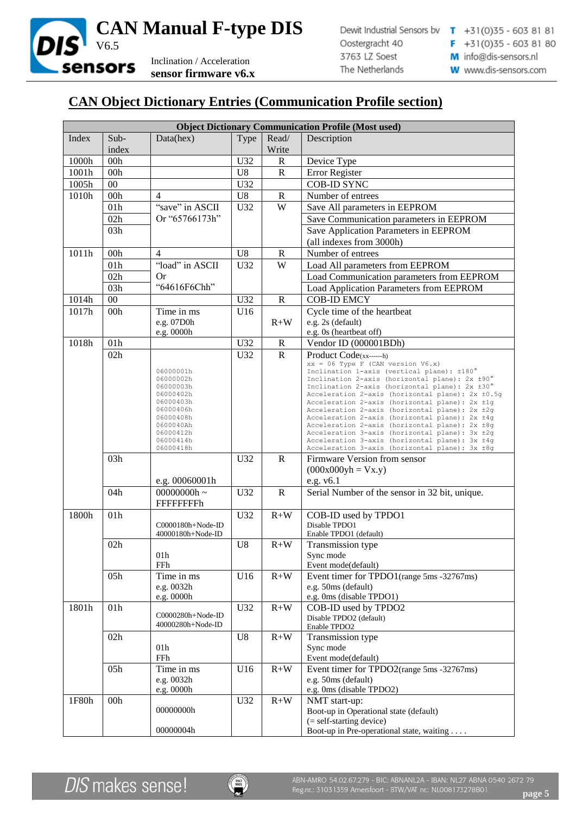

# **CAN Object Dictionary Entries (Communication Profile section)**

|       | <b>Object Dictionary Communication Profile (Most used)</b> |                                        |                |                |                                                                                                    |  |
|-------|------------------------------------------------------------|----------------------------------------|----------------|----------------|----------------------------------------------------------------------------------------------------|--|
| Index | Sub-                                                       | Data(hex)                              | Type           | Read/          | Description                                                                                        |  |
|       | index                                                      |                                        |                | Write          |                                                                                                    |  |
| 1000h | 00h                                                        |                                        | U32            | $\mathbb{R}$   | Device Type                                                                                        |  |
| 1001h | 00h                                                        |                                        | U <sub>8</sub> | $\mathbb{R}$   | Error Register                                                                                     |  |
| 1005h | 00                                                         |                                        | U32            |                | <b>COB-ID SYNC</b>                                                                                 |  |
| 1010h | 00h                                                        | 4                                      | U <sub>8</sub> | $\mathbb{R}$   | Number of entrees                                                                                  |  |
|       | 01h                                                        | "save" in ASCII                        | U32            | W              | Save All parameters in EEPROM                                                                      |  |
|       | 02h                                                        | Or "65766173h"                         |                |                | Save Communication parameters in EEPROM                                                            |  |
|       | 03h                                                        |                                        |                |                | Save Application Parameters in EEPROM                                                              |  |
|       |                                                            |                                        |                |                | (all indexes from 3000h)                                                                           |  |
| 1011h | 00h                                                        | $\overline{4}$                         | U <sub>8</sub> | ${\bf R}$      | Number of entrees                                                                                  |  |
|       | 01h                                                        | "load" in ASCII                        | U32            | $\overline{W}$ | Load All parameters from EEPROM                                                                    |  |
|       | 02h                                                        | Or                                     |                |                | Load Communication parameters from EEPROM                                                          |  |
|       | 03h                                                        | "64616F6Chh"                           |                |                | Load Application Parameters from EEPROM                                                            |  |
| 1014h | 00                                                         |                                        | U32            | ${\bf R}$      | <b>COB-ID EMCY</b>                                                                                 |  |
| 1017h | 00h                                                        | Time in ms                             | U16            |                | Cycle time of the heartbeat                                                                        |  |
|       |                                                            | e.g. 07D0h                             |                | $R+W$          | e.g. 2s (default)                                                                                  |  |
|       |                                                            | e.g. 0000h                             |                |                | e.g. 0s (heartbeat off)                                                                            |  |
| 1018h | 01h                                                        |                                        | U32            | $\mathbf R$    | Vendor ID (000001BDh)                                                                              |  |
|       | 02h                                                        |                                        | U32            | $\mathbb{R}$   | Product Code(xx------h)                                                                            |  |
|       |                                                            |                                        |                |                | $xx = 06$ Type F (CAN version V6.x)                                                                |  |
|       |                                                            | 06000001h<br>06000002h                 |                |                | Inclination 1-axis (vertical plane): ±180°<br>Inclination 2-axis (horizontal plane): 2x ±90°       |  |
|       |                                                            | 06000003h                              |                |                | Inclination 2-axis (horizontal plane): 2x ±30°                                                     |  |
|       |                                                            | 06000402h<br>06000403h                 |                |                | Acceleration 2-axis (horizontal plane): 2x ±0.5q<br>Acceleration 2-axis (horizontal plane): 2x ±1q |  |
|       |                                                            | 06000406h                              |                |                | Acceleration 2-axis (horizontal plane): 2x ±2q                                                     |  |
|       |                                                            | 06000408h                              |                |                | Acceleration 2-axis (horizontal plane): 2x ±4q                                                     |  |
|       |                                                            | 0600040Ah<br>06000412h                 |                |                | Acceleration 2-axis (horizontal plane): 2x ±8q<br>Acceleration 3-axis (horizontal plane): 3x ±2g   |  |
|       |                                                            | 06000414h                              |                |                | Acceleration 3-axis (horizontal plane): 3x ±4q                                                     |  |
|       | 03h                                                        | 06000418h                              | U32            | $\mathbf R$    | Acceleration 3-axis (horizontal plane): 3x ±8g<br>Firmware Version from sensor                     |  |
|       |                                                            |                                        |                |                |                                                                                                    |  |
|       |                                                            |                                        |                |                | $(000x000yh = Vx.y)$                                                                               |  |
|       | 04h                                                        | e.g. 00060001h<br>00000000h ~          | U32            | ${\bf R}$      | e.g. $v6.1$<br>Serial Number of the sensor in 32 bit, unique.                                      |  |
|       |                                                            | <b>FFFFFFFFFh</b>                      |                |                |                                                                                                    |  |
|       | 01h                                                        |                                        |                | $R+W$          |                                                                                                    |  |
| 1800h |                                                            | C0000180h+Node-ID                      | U32            |                | COB-ID used by TPDO1<br>Disable TPDO1                                                              |  |
|       |                                                            | 40000180h+Node-ID                      |                |                | Enable TPDO1 (default)                                                                             |  |
|       | 02h                                                        |                                        | U <sub>8</sub> | $R+W$          | Transmission type                                                                                  |  |
|       |                                                            | 01h                                    |                |                | Sync mode                                                                                          |  |
|       |                                                            | FFh                                    |                |                | Event mode(default)                                                                                |  |
|       | 05h                                                        | Time in ms                             | U16            | $R+W$          | Event timer for TPDO1(range 5ms -32767ms)                                                          |  |
|       |                                                            | e.g. 0032h                             |                |                | e.g. 50ms (default)                                                                                |  |
|       |                                                            | e.g. 0000h                             |                |                | e.g. 0ms (disable TPDO1)                                                                           |  |
| 1801h | 01h                                                        |                                        | U32            | $R+W$          | COB-ID used by TPDO2                                                                               |  |
|       |                                                            | C0000280h+Node-ID<br>40000280h+Node-ID |                |                | Disable TPDO2 (default)                                                                            |  |
|       | 02h                                                        |                                        | U8             | $R+W$          | Enable TPDO2<br>Transmission type                                                                  |  |
|       |                                                            | 01h                                    |                |                | Sync mode                                                                                          |  |
|       |                                                            | FFh                                    |                |                | Event mode(default)                                                                                |  |
|       | 05h                                                        | Time in ms                             | U16            | $R+W$          | Event timer for TPDO2(range 5ms -32767ms)                                                          |  |
|       |                                                            | e.g. 0032h                             |                |                | e.g. 50ms (default)                                                                                |  |
|       |                                                            | e.g. 0000h                             |                |                | e.g. 0ms (disable TPDO2)                                                                           |  |
| 1F80h | 00h                                                        |                                        | U32            | $R+W$          | NMT start-up:                                                                                      |  |
|       |                                                            | 00000000h                              |                |                | Boot-up in Operational state (default)                                                             |  |
|       |                                                            |                                        |                |                | (= self-starting device)                                                                           |  |
|       |                                                            | 00000004h                              |                |                | Boot-up in Pre-operational state, waiting                                                          |  |

**DIS** makes sense!

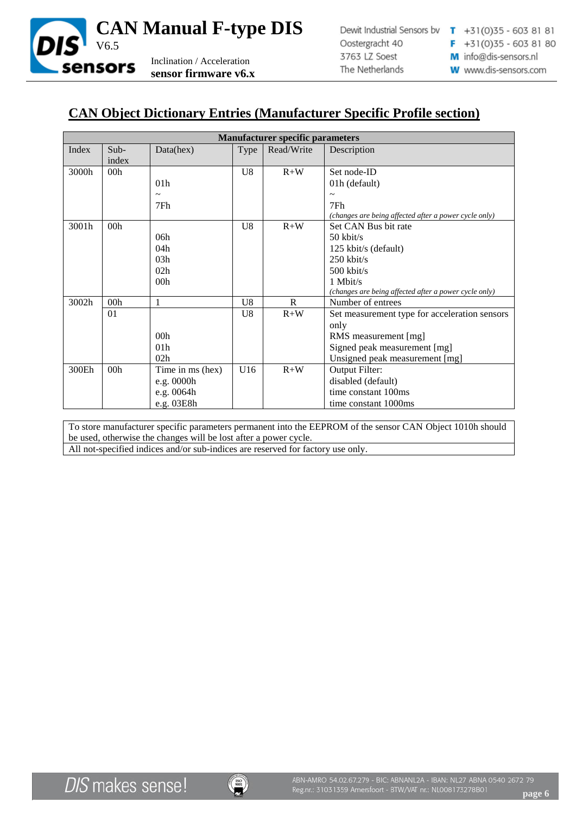

## **CAN Object Dictionary Entries (Manufacturer Specific Profile section)**

|       | <b>Manufacturer specific parameters</b> |                  |                |              |                                                       |  |
|-------|-----------------------------------------|------------------|----------------|--------------|-------------------------------------------------------|--|
| Index | $Sub-$                                  | Data(hex)        | Type           | Read/Write   | Description                                           |  |
|       | index                                   |                  |                |              |                                                       |  |
| 3000h | 00 <sub>h</sub>                         |                  | U8             | $R+W$        | Set node-ID                                           |  |
|       |                                         | 01 <sub>h</sub>  |                |              | 01h (default)                                         |  |
|       |                                         |                  |                |              | $\tilde{\phantom{a}}$                                 |  |
|       |                                         | 7Fh              |                |              | 7Fh                                                   |  |
|       |                                         |                  |                |              | (changes are being affected after a power cycle only) |  |
| 3001h | 00h                                     |                  | U <sub>8</sub> | $R+W$        | Set CAN Bus bit rate                                  |  |
|       |                                         | 06h              |                |              | $50$ kbit/s                                           |  |
|       |                                         | 04h              |                |              | 125 kbit/s (default)                                  |  |
|       |                                         | 03h              |                |              | $250$ kbit/s                                          |  |
|       |                                         | 02h              |                |              | $500$ kbit/s                                          |  |
|       |                                         | 00 <sub>h</sub>  |                |              | 1 Mbit/s                                              |  |
|       |                                         |                  |                |              | (changes are being affected after a power cycle only) |  |
| 3002h | 00h                                     | 1                | U <sub>8</sub> | $\mathbf{R}$ | Number of entrees                                     |  |
|       | 01                                      |                  | U8             | $R+W$        | Set measurement type for acceleration sensors         |  |
|       |                                         |                  |                |              | only                                                  |  |
|       |                                         | 00 <sub>h</sub>  |                |              | RMS measurement [mg]                                  |  |
|       |                                         | 01 <sub>h</sub>  |                |              | Signed peak measurement [mg]                          |  |
|       |                                         | 02h              |                |              | Unsigned peak measurement [mg]                        |  |
| 300Eh | 00h                                     | Time in ms (hex) | U16            | $R+W$        | Output Filter:                                        |  |
|       |                                         | e.g. 0000h       |                |              | disabled (default)                                    |  |
|       |                                         | e.g. 0064h       |                |              | time constant 100ms                                   |  |
|       |                                         | e.g. 03E8h       |                |              | time constant 1000ms                                  |  |

To store manufacturer specific parameters permanent into the EEPROM of the sensor CAN Object 1010h should be used, otherwise the changes will be lost after a power cycle.

All not-specified indices and/or sub-indices are reserved for factory use only.

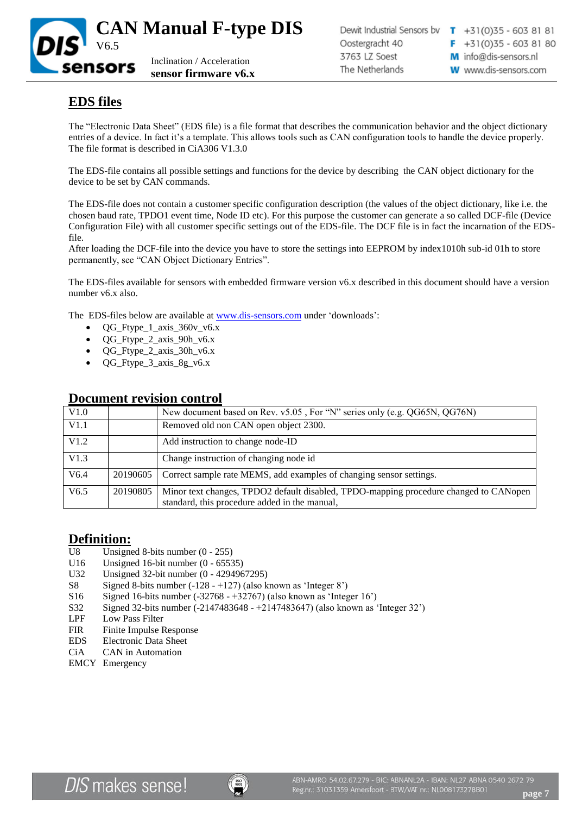

# **EDS files**

The "Electronic Data Sheet" (EDS file) is a file format that describes the communication behavior and the object dictionary entries of a device. In fact it's a template. This allows tools such as CAN configuration tools to handle the device properly. The file format is described in CiA306 V1.3.0

The EDS-file contains all possible settings and functions for the device by describing the CAN object dictionary for the device to be set by CAN commands.

The EDS-file does not contain a customer specific configuration description (the values of the object dictionary, like i.e. the chosen baud rate, TPDO1 event time, Node ID etc). For this purpose the customer can generate a so called DCF-file (Device Configuration File) with all customer specific settings out of the EDS-file. The DCF file is in fact the incarnation of the EDSfile.

After loading the DCF-file into the device you have to store the settings into EEPROM by index1010h sub-id 01h to store permanently, see "CAN Object Dictionary Entries".

The EDS-files available for sensors with embedded firmware version v6.x described in this document should have a version number v6.x also.

The EDS-files below are available at [www.dis-sensors.com](http://www.dis-sensors.com/) under 'downloads':

- $QG_Ftype_1_axis_360v_v6.x$
- QG\_Ftype\_2\_axis\_90h\_v6.x
- QG\_Ftype\_2\_axis\_30h\_v6.x
- QG\_Ftype\_3\_axis\_8g\_v6.x

|      |          | <b>Document revision control</b>                                                                                                       |
|------|----------|----------------------------------------------------------------------------------------------------------------------------------------|
| V1.0 |          | New document based on Rev. v5.05, For "N" series only (e.g. QG65N, QG76N)                                                              |
| V1.1 |          | Removed old non CAN open object 2300.                                                                                                  |
| V1.2 |          | Add instruction to change node-ID                                                                                                      |
| V1.3 |          | Change instruction of changing node id                                                                                                 |
| V6.4 | 20190605 | Correct sample rate MEMS, add examples of changing sensor settings.                                                                    |
| V6.5 | 20190805 | Minor text changes, TPDO2 default disabled, TPDO-mapping procedure changed to CANopen<br>standard, this procedure added in the manual, |

## **Definition:**

- U8 Unsigned 8-bits number (0 255)
- U16 Unsigned 16-bit number (0 65535)
- U32 Unsigned 32-bit number (0 4294967295)
- S8 Signed 8-bits number (-128 +127) (also known as 'Integer 8')
- S16 Signed 16-bits number (-32768 +32767) (also known as 'Integer 16')
- S32 Signed 32-bits number (-2147483648 +2147483647) (also known as 'Integer 32')
- LPF Low Pass Filter
- FIR Finite Impulse Response
- EDS Electronic Data Sheet
- CiA CAN in Automation
- EMCY Emergency

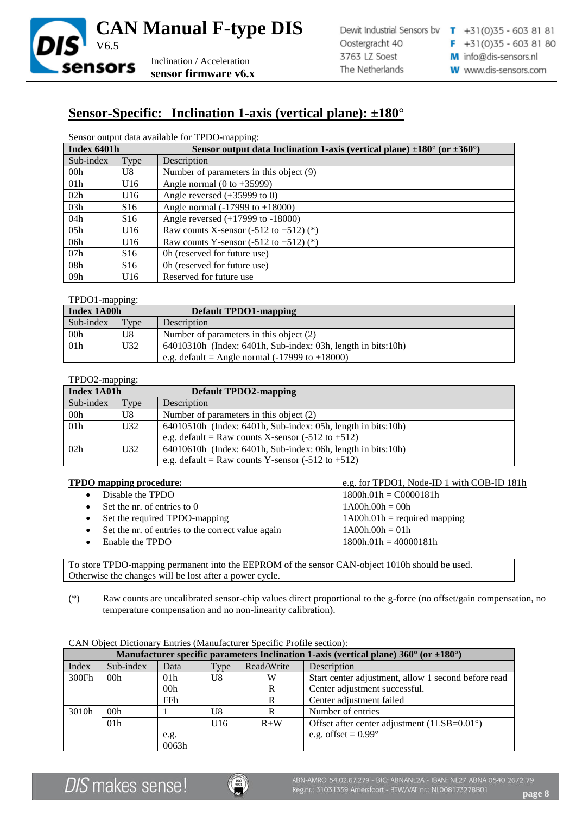

## **Sensor-Specific: Inclination 1-axis (vertical plane): ±180°**

Sensor output data available for TPDO-mapping:

| Index 6401h      |                 | Sensor output data Inclination 1-axis (vertical plane) $\pm 180^{\circ}$ (or $\pm 360^{\circ}$ ) |
|------------------|-----------------|--------------------------------------------------------------------------------------------------|
| Sub-index        | Type            | Description                                                                                      |
| 00 <sub>h</sub>  | U8              | Number of parameters in this object (9)                                                          |
| 01 <sub>h</sub>  | U16             | Angle normal $(0 \text{ to } +35999)$                                                            |
| 02h              | U16             | Angle reversed $(+35999$ to 0)                                                                   |
| 03h              | S <sub>16</sub> | Angle normal $(-17999$ to $+18000$ )                                                             |
| 04h              | S <sub>16</sub> | Angle reversed (+17999 to -18000)                                                                |
| 0.5 <sub>h</sub> | U16             | Raw counts X-sensor $(-512$ to $+512$ ) $(*)$                                                    |
| 06h              | U16             | Raw counts Y-sensor $(-512$ to $+512)$ (*)                                                       |
| 07h              | S <sub>16</sub> | Oh (reserved for future use)                                                                     |
| 08h              | S <sub>16</sub> | Oh (reserved for future use)                                                                     |
| 09h              | U16             | Reserved for future use                                                                          |

#### TPDO1-mapping:

| Index 1A00h     |      | <b>Default TPDO1-mapping</b>                                      |
|-----------------|------|-------------------------------------------------------------------|
| Sub-index       | Type | Description                                                       |
| 00h             | U8   | Number of parameters in this object (2)                           |
| 01 <sub>h</sub> | U32  | $64010310h$ (Index: $6401h$ , Sub-index: 03h, length in bits:10h) |
|                 |      | e.g. default = Angle normal $(-17999$ to $+18000$ )               |

### TPDO2-mapping:

| Index 1A01h     |      | <b>Default TPDO2-mapping</b>                                       |  |
|-----------------|------|--------------------------------------------------------------------|--|
| Sub-index       | Type | Description                                                        |  |
| 00 <sub>h</sub> | U8   | Number of parameters in this object (2)                            |  |
| 01h             | U32  | $64010510h$ (Index: $6401h$ , Sub-index: 05h, length in bits: 10h) |  |
|                 |      | e.g. default = Raw counts X-sensor $(-512 \text{ to } +512)$       |  |
| 02h             | U32  | $64010610h$ (Index: $6401h$ , Sub-index: 06h, length in bits: 10h) |  |
|                 |      | e.g. default = Raw counts Y-sensor $(-512 \text{ to } +512)$       |  |

### **TPDO mapping procedure:** e.g. for TPDO1, Node-ID 1 with COB-ID 181h • Disable the TPDO  $1800h.01h = CO000181h$ Set the nr. of entries to  $0 \t 1A00h.00h = 00h$ • Set the required TPDO-mapping 1A00h.01h = required mapping Set the nr. of entries to the correct value again  $1A00h.00h = 01h$ • Enable the TPDO 1800h.01h = 40000181h

To store TPDO-mapping permanent into the EEPROM of the sensor CAN-object 1010h should be used. Otherwise the changes will be lost after a power cycle.

(\*) Raw counts are uncalibrated sensor-chip values direct proportional to the g-force (no offset/gain compensation, no temperature compensation and no non-linearity calibration).

|       | Manufacturer specific parameters Inclination 1-axis (vertical plane) $360^{\circ}$ (or $\pm 180^{\circ}$ ) |                 |      |            |                                                      |  |
|-------|------------------------------------------------------------------------------------------------------------|-----------------|------|------------|------------------------------------------------------|--|
| Index | Sub-index                                                                                                  | Data            | Type | Read/Write | Description                                          |  |
| 300Fh | 00 <sub>h</sub>                                                                                            | 01 <sub>h</sub> | U8   | W          | Start center adjustment, allow 1 second before read  |  |
|       |                                                                                                            | 00 <sub>h</sub> |      | R          | Center adjustment successful.                        |  |
|       |                                                                                                            | <b>FFh</b>      |      | R          | Center adjustment failed                             |  |
| 3010h | 00h                                                                                                        |                 | U8   | R          | Number of entries                                    |  |
|       | 01 <sub>h</sub>                                                                                            |                 | U16  | $R+W$      | Offset after center adjustment $(1LSB=0.01^{\circ})$ |  |
|       |                                                                                                            | e.g.            |      |            | e.g. offset = $0.99^\circ$                           |  |
|       |                                                                                                            | 0063h           |      |            |                                                      |  |

CAN Object Dictionary Entries (Manufacturer Specific Profile section):

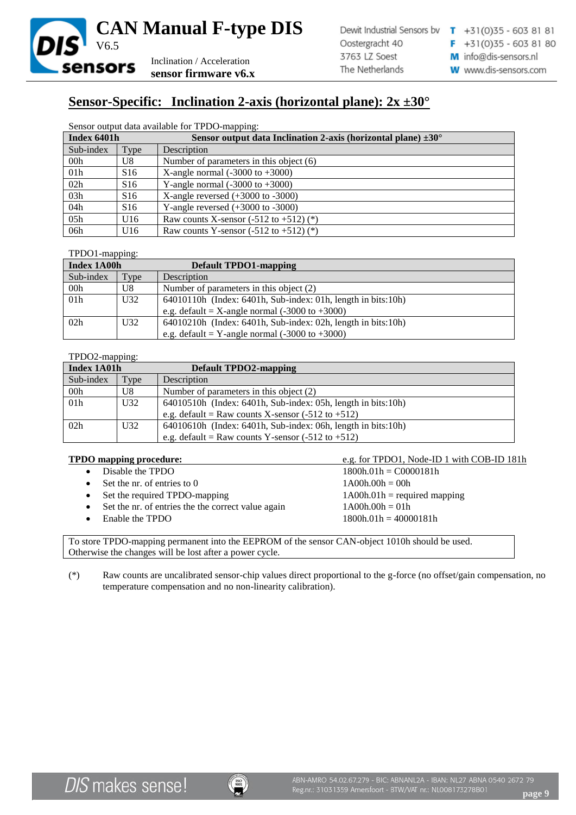

# **Sensor-Specific: Inclination 2-axis (horizontal plane): 2x ±30°**

#### Sensor output data available for TPDO-mapping:

| Index 6401h     |                 | Sensor output data Inclination 2-axis (horizontal plane) $\pm 30^{\circ}$ |
|-----------------|-----------------|---------------------------------------------------------------------------|
| Sub-index       | Type            | Description                                                               |
| 00 <sub>h</sub> | U8              | Number of parameters in this object $(6)$                                 |
| 01h             | S <sub>16</sub> | X-angle normal $(-3000 \text{ to } +3000)$                                |
| 02h             | S <sub>16</sub> | Y-angle normal $(-3000 \text{ to } +3000)$                                |
| 03h             | S <sub>16</sub> | X-angle reversed $(+3000)$ to $-3000$ )                                   |
| 04h             | S <sub>16</sub> | Y-angle reversed $(+3000)$ to $-3000$ )                                   |
| 05h             | U16             | Raw counts X-sensor $(-512$ to $+512$ ) $(*)$                             |
| 06h             | U16             | Raw counts Y-sensor $(-512$ to $+512$ ) $(*)$                             |

### TPDO1-mapping:

| Index 1A00h     |                 | Default TPDO1-mapping                                             |
|-----------------|-----------------|-------------------------------------------------------------------|
| Sub-index       | Type            | Description                                                       |
| 00 <sub>h</sub> | U8              | Number of parameters in this object $(2)$                         |
| 01h             | U <sub>32</sub> | 64010110h (Index: 6401h, Sub-index: 01h, length in bits:10h)      |
|                 |                 | e.g. default = X-angle normal $(-3000 \text{ to } +3000)$         |
| 02h             | U32             | $64010210h$ (Index: $6401h$ , Sub-index: 02h, length in bits:10h) |
|                 |                 | e.g. default = Y-angle normal $(-3000 \text{ to } +3000)$         |

### TPDO2-mapping:

| Index 1A01h     |                 | <b>Default TPDO2-mapping</b>                                       |
|-----------------|-----------------|--------------------------------------------------------------------|
| Sub-index       | Type            | Description                                                        |
| 00 <sub>h</sub> | U8              | Number of parameters in this object (2)                            |
| 01h             | U <sub>32</sub> | $64010510h$ (Index: $6401h$ , Sub-index: 05h, length in bits:10h)  |
|                 |                 | e.g. default = Raw counts X-sensor $(-512 \text{ to } +512)$       |
| 02h             | U32             | $64010610h$ (Index: $6401h$ , Sub-index: 06h, length in bits: 10h) |
|                 |                 | e.g. default = Raw counts Y-sensor $(-512 \text{ to } +512)$       |

### **TPDO mapping procedure:** e.g. for TPDO1, Node-ID 1 with COB-ID 181h

| • Disable the TPDO                                   | $1800h.01h = CO000181h$        |
|------------------------------------------------------|--------------------------------|
| $\bullet$ Set the nr. of entries to 0                | $1A00h.00h = 00h$              |
| • Set the required TPDO-mapping                      | $1A00h.01h$ = required mapping |
| • Set the nr. of entries the the correct value again | $1A00h.00h = 01h$              |
| $\bullet$ Enable the TPDO                            | $1800h.01h = 40000181h$        |
|                                                      |                                |

To store TPDO-mapping permanent into the EEPROM of the sensor CAN-object 1010h should be used. Otherwise the changes will be lost after a power cycle.

(\*) Raw counts are uncalibrated sensor-chip values direct proportional to the g-force (no offset/gain compensation, no temperature compensation and no non-linearity calibration).

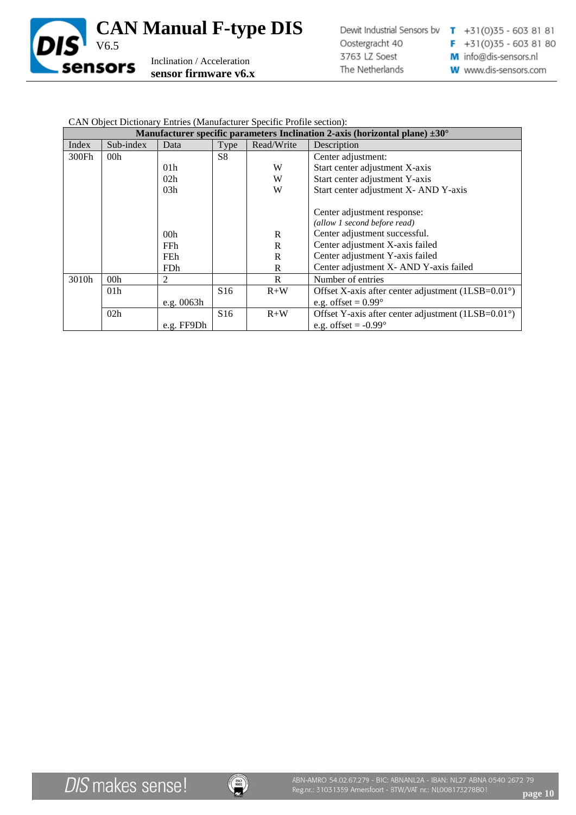

### CAN Object Dictionary Entries (Manufacturer Specific Profile section):

|       | Manufacturer specific parameters Inclination 2-axis (horizontal plane) $\pm 30^{\circ}$ |                 |                 |            |                                                             |
|-------|-----------------------------------------------------------------------------------------|-----------------|-----------------|------------|-------------------------------------------------------------|
| Index | Sub-index                                                                               | Data            | Type            | Read/Write | Description                                                 |
| 300Fh | 00 <sub>h</sub>                                                                         |                 | S <sub>8</sub>  |            | Center adjustment:                                          |
|       |                                                                                         | 01 <sub>h</sub> |                 | W          | Start center adjustment X-axis                              |
|       |                                                                                         | 02 <sub>h</sub> |                 | W          | Start center adjustment Y-axis                              |
|       |                                                                                         | 03h             |                 | W          | Start center adjustment X- AND Y-axis                       |
|       |                                                                                         |                 |                 |            | Center adjustment response:                                 |
|       |                                                                                         |                 |                 |            | (allow 1 second before read)                                |
|       |                                                                                         | 00 <sub>h</sub> |                 | R          | Center adjustment successful.                               |
|       |                                                                                         | <b>FFh</b>      |                 | R          | Center adjustment X-axis failed                             |
|       |                                                                                         | FEh             |                 | R          | Center adjustment Y-axis failed                             |
|       |                                                                                         | <b>FDh</b>      |                 | R          | Center adjustment X- AND Y-axis failed                      |
| 3010h | 00 <sub>h</sub>                                                                         | 2               |                 | R          | Number of entries                                           |
|       | 01 <sub>h</sub>                                                                         |                 | S16             | $R+W$      | Offset X-axis after center adjustment $(1LSB=0.01^{\circ})$ |
|       |                                                                                         | e.g. 0063h      |                 |            | e.g. offset = $0.99^\circ$                                  |
|       | 02h                                                                                     |                 | S <sub>16</sub> | $R+W$      | Offset Y-axis after center adjustment $(1LSB=0.01^{\circ})$ |
|       |                                                                                         | e.g. FF9Dh      |                 |            | e.g. offset = $-0.99^\circ$                                 |

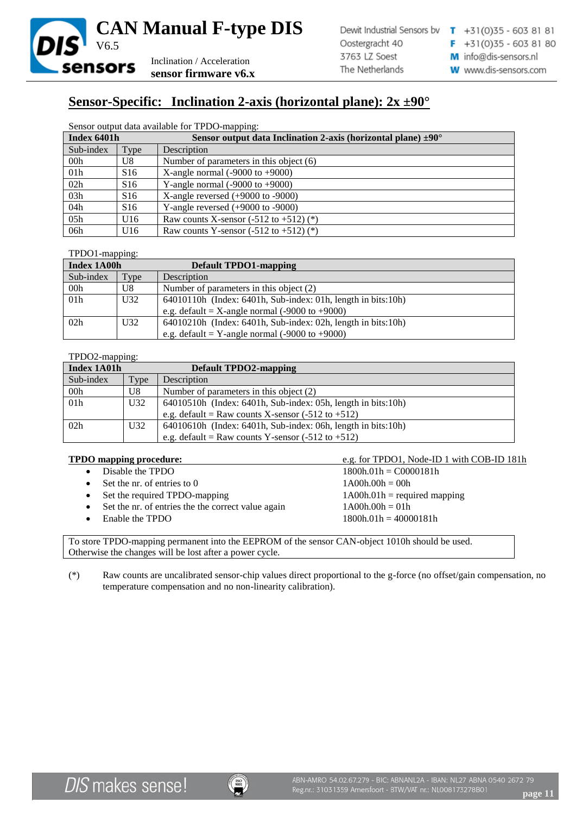

# **Sensor-Specific: Inclination 2-axis (horizontal plane): 2x ±90°**

#### Sensor output data available for TPDO-mapping:

| Index 6401h     |                 | Sensor output data Inclination 2-axis (horizontal plane) $\pm 90^\circ$ |
|-----------------|-----------------|-------------------------------------------------------------------------|
| Sub-index       | Type            | Description                                                             |
| 00 <sub>h</sub> | U8              | Number of parameters in this object $(6)$                               |
| 01h             | S <sub>16</sub> | X-angle normal $(-9000 \text{ to } +9000)$                              |
| 02h             | S <sub>16</sub> | Y-angle normal $(-9000 \text{ to } +9000)$                              |
| 03h             | S <sub>16</sub> | X-angle reversed $(+9000$ to $-9000$ )                                  |
| 04h             | S <sub>16</sub> | Y-angle reversed $(+9000$ to $-9000$ )                                  |
| 05h             | U16             | Raw counts X-sensor $(-512$ to $+512$ ) $(*)$                           |
| 06h             | U16             | Raw counts Y-sensor $(-512$ to $+512$ ) $(*)$                           |

### TPDO1-mapping:

| Index 1A00h     |                 | <b>Default TPDO1-mapping</b>                                      |
|-----------------|-----------------|-------------------------------------------------------------------|
| Sub-index       | Type            | Description                                                       |
| 00h             | U8              | Number of parameters in this object (2)                           |
| 01 <sub>h</sub> | U <sub>32</sub> | 64010110h (Index: 6401h, Sub-index: 01h, length in bits:10h)      |
|                 |                 | e.g. default = X-angle normal $(-9000 \text{ to } +9000)$         |
| 02h             | U32             | $64010210h$ (Index: $6401h$ , Sub-index: 02h, length in bits:10h) |
|                 |                 | e.g. default = Y-angle normal $(-9000 \text{ to } +9000)$         |

### TPDO2-mapping:

| Index 1A01h     |                 | <b>Default TPDO2-mapping</b>                                       |
|-----------------|-----------------|--------------------------------------------------------------------|
| Sub-index       | Type            | Description                                                        |
| 00 <sub>h</sub> | U8              | Number of parameters in this object (2)                            |
| 01h             | U <sub>32</sub> | 64010510h (Index: 6401h, Sub-index: 05h, length in bits:10h)       |
|                 |                 | e.g. default = Raw counts X-sensor $(-512 \text{ to } +512)$       |
| 02h             | U32             | $64010610h$ (Index: $6401h$ , Sub-index: 06h, length in bits: 10h) |
|                 |                 | e.g. default = Raw counts Y-sensor $(-512 \text{ to } +512)$       |

### **TPDO mapping procedure:** e.g. for TPDO1, Node-ID 1 with COB-ID 181h

|           | • Disable the TPDO                                   | $1800h.01h = CO000181h$        |
|-----------|------------------------------------------------------|--------------------------------|
|           | $\bullet$ Set the nr. of entries to 0                | $1A00h.00h = 00h$              |
|           | • Set the required TPDO-mapping                      | $1A00h.01h$ = required mapping |
|           | • Set the nr. of entries the the correct value again | $1A00h.00h = 01h$              |
| $\bullet$ | Enable the TPDO                                      | $1800h.01h = 40000181h$        |
|           |                                                      |                                |

To store TPDO-mapping permanent into the EEPROM of the sensor CAN-object 1010h should be used. Otherwise the changes will be lost after a power cycle.

(\*) Raw counts are uncalibrated sensor-chip values direct proportional to the g-force (no offset/gain compensation, no temperature compensation and no non-linearity calibration).

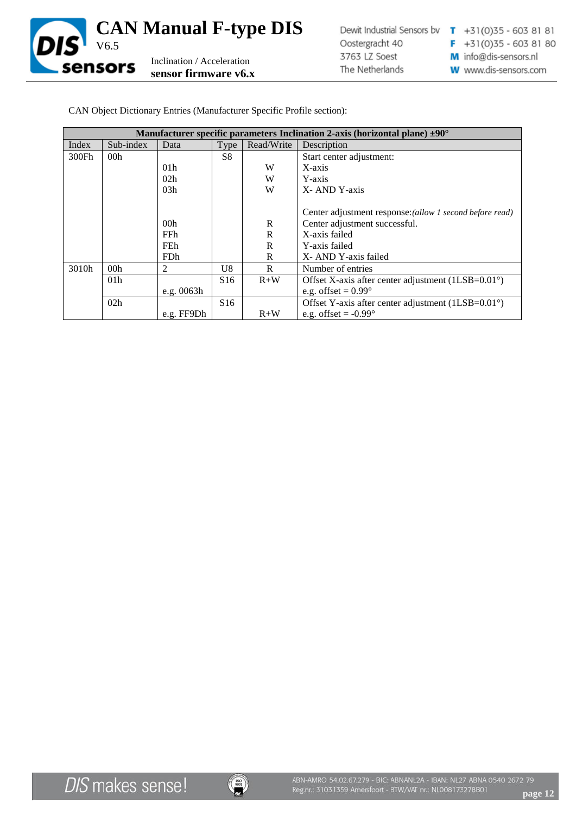

|       | Manufacturer specific parameters Inclination 2-axis (horizontal plane) $\pm 90^{\circ}$ |                 |                 |            |                                                             |
|-------|-----------------------------------------------------------------------------------------|-----------------|-----------------|------------|-------------------------------------------------------------|
| Index | Sub-index                                                                               | Data            | Type            | Read/Write | Description                                                 |
| 300Fh | 00 <sub>h</sub>                                                                         |                 | S <sup>8</sup>  |            | Start center adjustment:                                    |
|       |                                                                                         | 01 <sub>h</sub> |                 | W          | X-axis                                                      |
|       |                                                                                         | 02h             |                 | W          | Y-axis                                                      |
|       |                                                                                         | 03h             |                 | W          | X-AND Y-axis                                                |
|       |                                                                                         |                 |                 |            |                                                             |
|       |                                                                                         |                 |                 |            | Center adjustment response: (allow 1 second before read)    |
|       |                                                                                         | 00 <sub>h</sub> |                 | R          | Center adjustment successful.                               |
|       |                                                                                         | FFh.            |                 | R          | X-axis failed                                               |
|       |                                                                                         | <b>FEh</b>      |                 | R          | Y-axis failed                                               |
|       |                                                                                         | <b>FDh</b>      |                 | R          | X-AND Y-axis failed                                         |
| 3010h | 00 <sub>h</sub>                                                                         | 2               | U8              | R          | Number of entries                                           |
|       | 01 <sub>h</sub>                                                                         |                 | S <sub>16</sub> | $R+W$      | Offset X-axis after center adjustment $(1LSB=0.01^{\circ})$ |
|       |                                                                                         | e.g. $0063h$    |                 |            | e.g. offset = $0.99^\circ$                                  |
|       | 02h                                                                                     |                 | S <sub>16</sub> |            | Offset Y-axis after center adjustment $(1LSB=0.01^{\circ})$ |
|       |                                                                                         | e.g. FF9Dh      |                 | $R+W$      | e.g. offset $= -0.99^{\circ}$                               |

CAN Object Dictionary Entries (Manufacturer Specific Profile section):

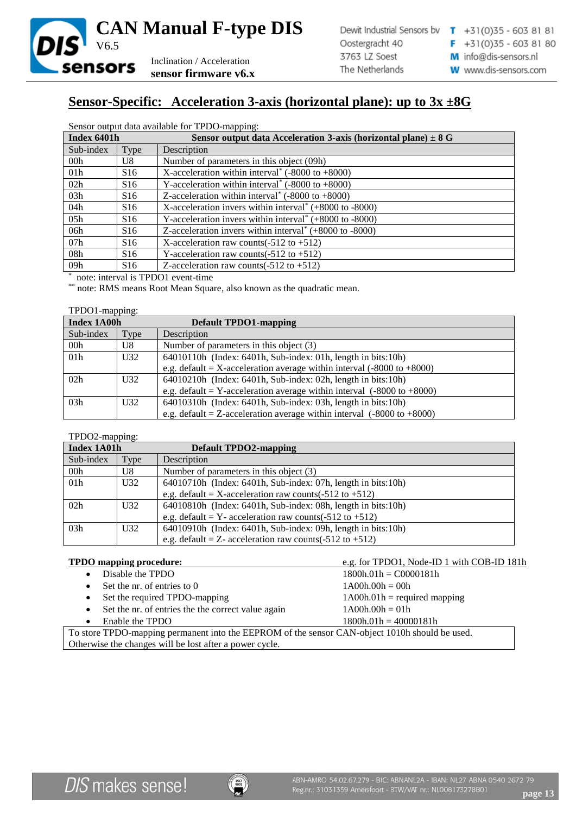

# **Sensor-Specific: Acceleration 3-axis (horizontal plane): up to 3x ±8G**

| Sensor output data available for TPDO-mapping: |  |  |
|------------------------------------------------|--|--|
|                                                |  |  |

| Index 6401h     |                 | Sensor output data Acceleration 3-axis (horizontal plane) $\pm 8$ G     |
|-----------------|-----------------|-------------------------------------------------------------------------|
| Sub-index       | Type            | Description                                                             |
| 00 <sub>h</sub> | U8              | Number of parameters in this object (09h)                               |
| 01 <sub>h</sub> | S <sub>16</sub> | X-acceleration within interval <sup>*</sup> (-8000 to $+8000$ )         |
| 02h             | S <sub>16</sub> | Y-acceleration within interval <sup>*</sup> (-8000 to $+8000$ )         |
| 03h             | S16             | Z-acceleration within interval <sup>*</sup> (-8000 to +8000)            |
| 04h             | S <sub>16</sub> | X-acceleration invers within interval <sup>*</sup> $(+8000$ to $-8000)$ |
| 05h             | S <sub>16</sub> | Y-acceleration invers within interval <sup>*</sup> $(+8000$ to $-8000)$ |
| 06h             | S16             | Z-acceleration invers within interval <sup>*</sup> $(+8000$ to $-8000)$ |
| 07h             | S <sub>16</sub> | X-acceleration raw counts( $-512$ to $+512$ )                           |
| 08h             | S16             | Y-acceleration raw counts $(-512 \text{ to } +512)$                     |
| 09h             | S <sub>16</sub> | Z-acceleration raw counts $(-512 \text{ to } +512)$                     |

\* note: interval is TPDO1 event-time

\*\* note: RMS means Root Mean Square, also known as the quadratic mean.

#### TPDO1-mapping:

| Index 1A00h     |                 | <b>Default TPDO1-mapping</b>                                                      |
|-----------------|-----------------|-----------------------------------------------------------------------------------|
| Sub-index       | Type            | Description                                                                       |
| 00 <sub>h</sub> | U8              | Number of parameters in this object (3)                                           |
| 01 <sub>h</sub> | U <sub>32</sub> | $64010110h$ (Index: $6401h$ , Sub-index: 01h, length in bits: 10h)                |
|                 |                 | e.g. default = X-acceleration average within interval $(-8000 \text{ to } +8000)$ |
| 02h             | U32             | $64010210h$ (Index: $6401h$ , Sub-index: 02h, length in bits: 10h)                |
|                 |                 | e.g. default = Y-acceleration average within interval $(-8000 \text{ to } +8000)$ |
| 03h             | U32             | $64010310h$ (Index: $6401h$ , Sub-index: 03h, length in bits: 10h)                |
|                 |                 | e.g. default = Z-acceleration average within interval $(-8000 \text{ to } +8000)$ |

### TPDO2-mapping:

| Index 1A01h     |      | <b>Default TPDO2-mapping</b>                                       |  |  |
|-----------------|------|--------------------------------------------------------------------|--|--|
| Sub-index       | Type | Description                                                        |  |  |
| 00 <sub>h</sub> | U8   | Number of parameters in this object (3)                            |  |  |
| 01 <sub>h</sub> | U32  | 64010710h (Index: 6401h, Sub-index: 07h, length in bits:10h)       |  |  |
|                 |      | e.g. default = X-acceleration raw counts(-512 to +512)             |  |  |
| 02h             | U32  | 64010810h (Index: 6401h, Sub-index: 08h, length in bits:10h)       |  |  |
|                 |      | e.g. default = $Y$ - acceleration raw counts(-512 to +512)         |  |  |
| 03h             | U32  | $64010910h$ (Index: $6401h$ , Sub-index: 09h, length in bits: 10h) |  |  |
|                 |      | e.g. default = $Z$ - acceleration raw counts(-512 to +512)         |  |  |

### **TPDO mapping procedure:** e.g. for TPDO1, Node-ID 1 with COB-ID 181h

| $11.5$ $\sigma$ mapping procedure.                                                             |                                |  |  |  |  |
|------------------------------------------------------------------------------------------------|--------------------------------|--|--|--|--|
| Disable the TPDO                                                                               | $1800h.01h = CO000181h$        |  |  |  |  |
| Set the nr. of entries to 0                                                                    | $1 A00h.00h = 00h$             |  |  |  |  |
| Set the required TPDO-mapping                                                                  | $1A00h.01h =$ required mapping |  |  |  |  |
| Set the nr. of entries the the correct value again                                             | $1A00h.00h = 01h$              |  |  |  |  |
| Enable the TPDO                                                                                | $1800h.01h = 40000181h$        |  |  |  |  |
| To store TPDO-mapping permanent into the EEPROM of the sensor CAN-object 1010h should be used. |                                |  |  |  |  |
| Otherwise the changes will be lost after a power cycle.                                        |                                |  |  |  |  |

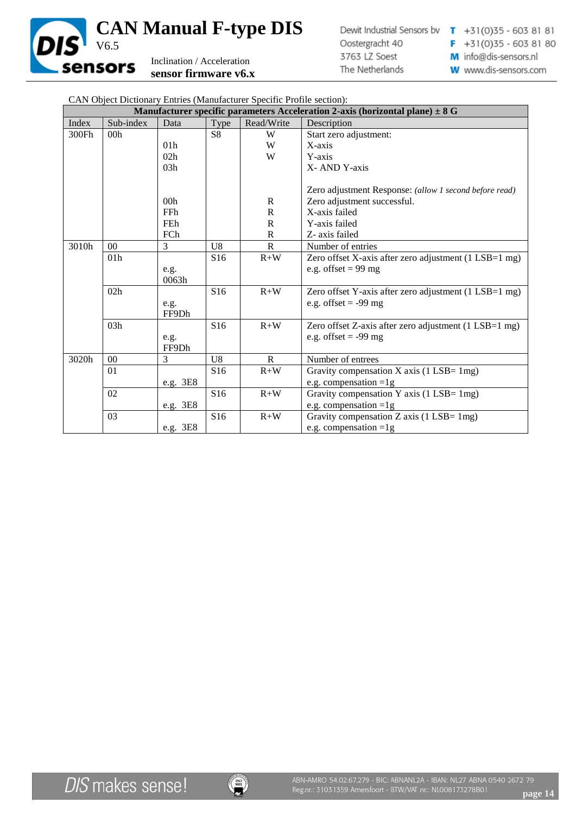

| CAN Object Dictionary Entries (Manufacturer Specific Profile section):            |                |                 |                 |              |                                                        |  |  |  |
|-----------------------------------------------------------------------------------|----------------|-----------------|-----------------|--------------|--------------------------------------------------------|--|--|--|
| Manufacturer specific parameters Acceleration 2-axis (horizontal plane) $\pm 8$ G |                |                 |                 |              |                                                        |  |  |  |
| Index                                                                             | Sub-index      | Data            | Type            | Read/Write   | Description                                            |  |  |  |
| 300Fh                                                                             | 00h            |                 | S <sub>8</sub>  | W            | Start zero adjustment:                                 |  |  |  |
|                                                                                   |                | 01 <sub>h</sub> |                 | W            | X-axis                                                 |  |  |  |
|                                                                                   |                | 02h             |                 | W            | Y-axis                                                 |  |  |  |
|                                                                                   |                | 03h             |                 |              | X-AND Y-axis                                           |  |  |  |
|                                                                                   |                |                 |                 |              |                                                        |  |  |  |
|                                                                                   |                |                 |                 |              | Zero adjustment Response: (allow 1 second before read) |  |  |  |
|                                                                                   |                | 00 <sub>h</sub> |                 | $\mathbb{R}$ | Zero adjustment successful.                            |  |  |  |
|                                                                                   |                | <b>FFh</b>      |                 | $\mathbf R$  | X-axis failed                                          |  |  |  |
|                                                                                   |                | FEh             |                 | $\mathsf{R}$ | Y-axis failed                                          |  |  |  |
|                                                                                   |                | FCh             |                 | $\mathsf{R}$ | Z- axis failed                                         |  |  |  |
| 3010h                                                                             | 0 <sup>0</sup> | 3               | U8              | $\mathsf{R}$ | Number of entries                                      |  |  |  |
|                                                                                   | 01h            |                 | S <sub>16</sub> | $R+W$        | Zero offset X-axis after zero adjustment (1 LSB=1 mg)  |  |  |  |
|                                                                                   |                | e.g.            |                 |              | e.g. offset = $99 \text{ mg}$                          |  |  |  |
|                                                                                   |                | 0063h           |                 |              |                                                        |  |  |  |
|                                                                                   | 02h            |                 | S16             | $R+W$        | Zero offset Y-axis after zero adjustment (1 LSB=1 mg)  |  |  |  |
|                                                                                   |                | e.g.            |                 |              | e.g. offset $= -99$ mg                                 |  |  |  |
|                                                                                   |                | FF9Dh           |                 |              |                                                        |  |  |  |
|                                                                                   | 03h            |                 | S16             | $R+W$        | Zero offset Z-axis after zero adjustment (1 LSB=1 mg)  |  |  |  |
|                                                                                   |                | e.g.            |                 |              | e.g. offset $= -99$ mg                                 |  |  |  |
|                                                                                   |                | FF9Dh           |                 |              |                                                        |  |  |  |
| 3020h                                                                             | $00\,$         | 3               | U <sub>8</sub>  | $\mathbf{R}$ | Number of entrees                                      |  |  |  |
|                                                                                   | 01             |                 | S <sub>16</sub> | $R+W$        | Gravity compensation $X$ axis (1 LSB= 1mg)             |  |  |  |
|                                                                                   |                | e.g. 3E8        |                 |              | e.g. compensation $=1g$                                |  |  |  |
|                                                                                   | 02             |                 | S <sub>16</sub> | $R+W$        | Gravity compensation Y axis (1 LSB= 1mg)               |  |  |  |
|                                                                                   |                | e.g. 3E8        |                 |              | e.g. compensation $=1g$                                |  |  |  |
|                                                                                   | 03             |                 | S16             | $R+W$        | Gravity compensation Z axis (1 LSB= 1mg)               |  |  |  |
|                                                                                   |                | e.g. 3E8        |                 |              | e.g. compensation $=1g$                                |  |  |  |

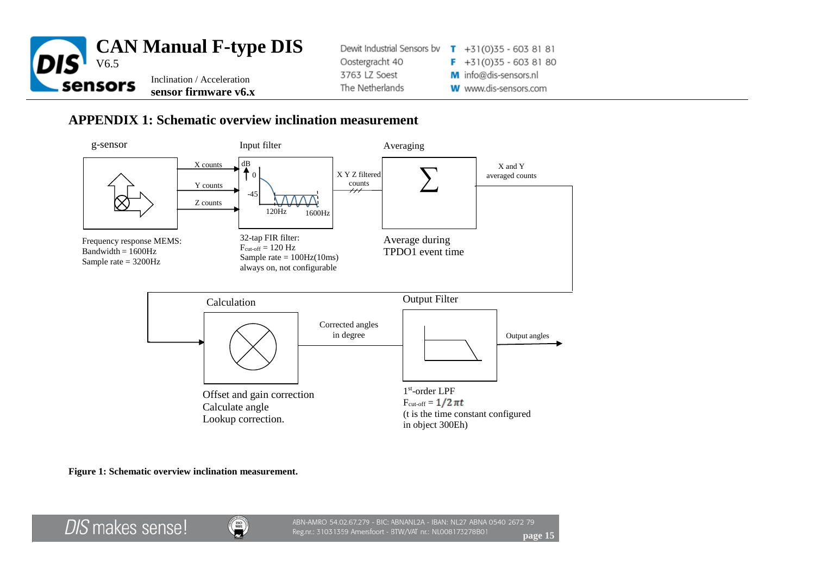

## **APPENDIX 1: Schematic overview inclination measurement**



**Figure 1: Schematic overview inclination measurement.**

**DIS** makes sense!